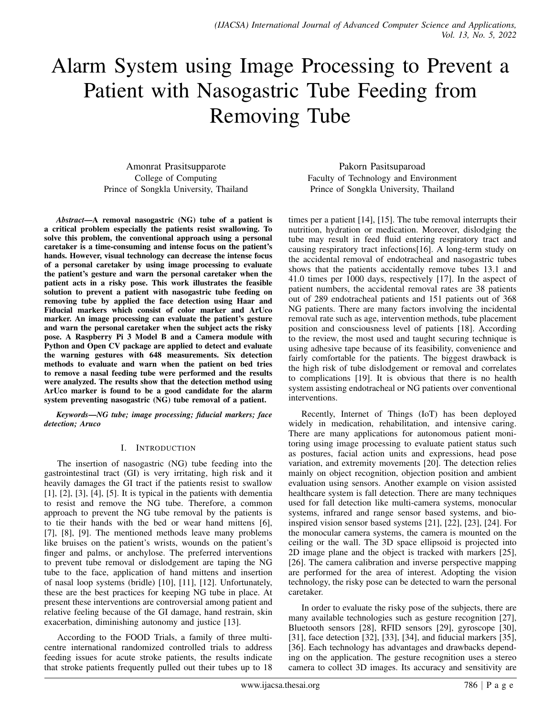# Alarm System using Image Processing to Prevent a Patient with Nasogastric Tube Feeding from Removing Tube

Amonrat Prasitsupparote College of Computing Prince of Songkla University, Thailand

*Abstract*—A removal nasogastric (NG) tube of a patient is a critical problem especially the patients resist swallowing. To solve this problem, the conventional approach using a personal caretaker is a time-consuming and intense focus on the patient's hands. However, visual technology can decrease the intense focus of a personal caretaker by using image processing to evaluate the patient's gesture and warn the personal caretaker when the patient acts in a risky pose. This work illustrates the feasible solution to prevent a patient with nasogastric tube feeding on removing tube by applied the face detection using Haar and Fiducial markers which consist of color marker and ArUco marker. An image processing can evaluate the patient's gesture and warn the personal caretaker when the subject acts the risky pose. A Raspberry Pi 3 Model B and a Camera module with Python and Open CV package are applied to detect and evaluate the warning gestures with 648 measurements. Six detection methods to evaluate and warn when the patient on bed tries to remove a nasal feeding tube were performed and the results were analyzed. The results show that the detection method using ArUco marker is found to be a good candidate for the alarm system preventing nasogastric (NG) tube removal of a patient.

*Keywords*—*NG tube; image processing; fiducial markers; face detection; Aruco*

# I. INTRODUCTION

The insertion of nasogastric (NG) tube feeding into the gastrointestinal tract (GI) is very irritating, high risk and it heavily damages the GI tract if the patients resist to swallow  $[1]$ ,  $[2]$ ,  $[3]$ ,  $[4]$ ,  $[5]$ . It is typical in the patients with dementia to resist and remove the NG tube. Therefore, a common approach to prevent the NG tube removal by the patients is to tie their hands with the bed or wear hand mittens [6], [7], [8], [9]. The mentioned methods leave many problems like bruises on the patient's wrists, wounds on the patient's finger and palms, or anchylose. The preferred interventions to prevent tube removal or dislodgement are taping the NG tube to the face, application of hand mittens and insertion of nasal loop systems (bridle) [10], [11], [12]. Unfortunately, these are the best practices for keeping NG tube in place. At present these interventions are controversial among patient and relative feeling because of the GI damage, hand restrain, skin exacerbation, diminishing autonomy and justice [13].

According to the FOOD Trials, a family of three multicentre international randomized controlled trials to address feeding issues for acute stroke patients, the results indicate that stroke patients frequently pulled out their tubes up to 18

Pakorn Pasitsuparoad Faculty of Technology and Environment Prince of Songkla University, Thailand

times per a patient [14], [15]. The tube removal interrupts their nutrition, hydration or medication. Moreover, dislodging the tube may result in feed fluid entering respiratory tract and causing respiratory tract infections[16]. A long-term study on the accidental removal of endotracheal and nasogastric tubes shows that the patients accidentally remove tubes 13.1 and 41.0 times per 1000 days, respectively [17]. In the aspect of patient numbers, the accidental removal rates are 38 patients out of 289 endotracheal patients and 151 patients out of 368 NG patients. There are many factors involving the incidental removal rate such as age, intervention methods, tube placement position and consciousness level of patients [18]. According to the review, the most used and taught securing technique is using adhesive tape because of its feasibility, convenience and fairly comfortable for the patients. The biggest drawback is the high risk of tube dislodgement or removal and correlates to complications [19]. It is obvious that there is no health system assisting endotracheal or NG patients over conventional interventions.

Recently, Internet of Things (IoT) has been deployed widely in medication, rehabilitation, and intensive caring. There are many applications for autonomous patient monitoring using image processing to evaluate patient status such as postures, facial action units and expressions, head pose variation, and extremity movements [20]. The detection relies mainly on object recognition, objection position and ambient evaluation using sensors. Another example on vision assisted healthcare system is fall detection. There are many techniques used for fall detection like multi-camera systems, monocular systems, infrared and range sensor based systems, and bioinspired vision sensor based systems [21], [22], [23], [24]. For the monocular camera systems, the camera is mounted on the ceiling or the wall. The 3D space ellipsoid is projected into 2D image plane and the object is tracked with markers [25], [26]. The camera calibration and inverse perspective mapping are performed for the area of interest. Adopting the vision technology, the risky pose can be detected to warn the personal caretaker.

In order to evaluate the risky pose of the subjects, there are many available technologies such as gesture recognition [27], Bluetooth sensors [28], RFID sensors [29], gyroscope [30], [31], face detection [32], [33], [34], and fiducial markers [35], [36]. Each technology has advantages and drawbacks depending on the application. The gesture recognition uses a stereo camera to collect 3D images. Its accuracy and sensitivity are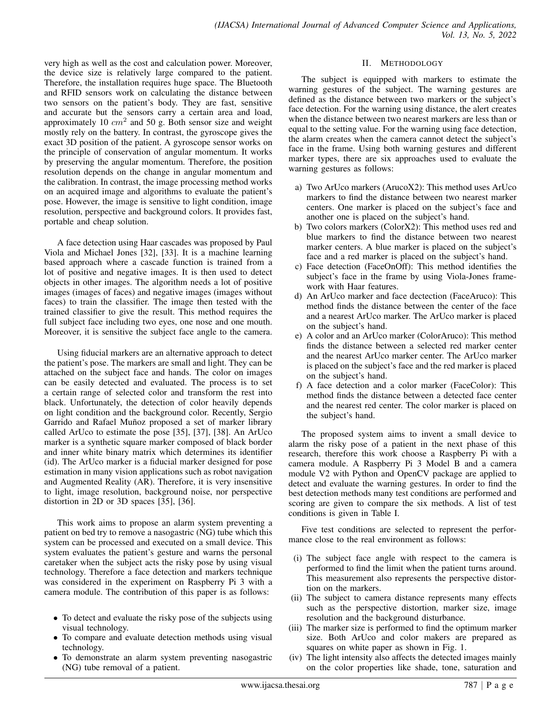very high as well as the cost and calculation power. Moreover, the device size is relatively large compared to the patient. Therefore, the installation requires huge space. The Bluetooth and RFID sensors work on calculating the distance between two sensors on the patient's body. They are fast, sensitive and accurate but the sensors carry a certain area and load, approximately 10  $cm<sup>2</sup>$  and 50 g. Both sensor size and weight mostly rely on the battery. In contrast, the gyroscope gives the exact 3D position of the patient. A gyroscope sensor works on the principle of conservation of angular momentum. It works by preserving the angular momentum. Therefore, the position resolution depends on the change in angular momentum and the calibration. In contrast, the image processing method works on an acquired image and algorithms to evaluate the patient's pose. However, the image is sensitive to light condition, image resolution, perspective and background colors. It provides fast, portable and cheap solution.

A face detection using Haar cascades was proposed by Paul Viola and Michael Jones [32], [33]. It is a machine learning based approach where a cascade function is trained from a lot of positive and negative images. It is then used to detect objects in other images. The algorithm needs a lot of positive images (images of faces) and negative images (images without faces) to train the classifier. The image then tested with the trained classifier to give the result. This method requires the full subject face including two eyes, one nose and one mouth. Moreover, it is sensitive the subject face angle to the camera.

Using fiducial markers are an alternative approach to detect the patient's pose. The markers are small and light. They can be attached on the subject face and hands. The color on images can be easily detected and evaluated. The process is to set a certain range of selected color and transform the rest into black. Unfortunately, the detection of color heavily depends on light condition and the background color. Recently, Sergio Garrido and Rafael Muñoz proposed a set of marker library called ArUco to estimate the pose [35], [37], [38]. An ArUco marker is a synthetic square marker composed of black border and inner white binary matrix which determines its identifier (id). The ArUco marker is a fiducial marker designed for pose estimation in many vision applications such as robot navigation and Augmented Reality (AR). Therefore, it is very insensitive to light, image resolution, background noise, nor perspective distortion in 2D or 3D spaces [35], [36].

This work aims to propose an alarm system preventing a patient on bed try to remove a nasogastric (NG) tube which this system can be processed and executed on a small device. This system evaluates the patient's gesture and warns the personal caretaker when the subject acts the risky pose by using visual technology. Therefore a face detection and markers technique was considered in the experiment on Raspberry Pi 3 with a camera module. The contribution of this paper is as follows:

- To detect and evaluate the risky pose of the subjects using visual technology.
- To compare and evaluate detection methods using visual technology.
- To demonstrate an alarm system preventing nasogastric (NG) tube removal of a patient.

## II. METHODOLOGY

The subject is equipped with markers to estimate the warning gestures of the subject. The warning gestures are defined as the distance between two markers or the subject's face detection. For the warning using distance, the alert creates when the distance between two nearest markers are less than or equal to the setting value. For the warning using face detection, the alarm creates when the camera cannot detect the subject's face in the frame. Using both warning gestures and different marker types, there are six approaches used to evaluate the warning gestures as follows:

- a) Two ArUco markers (ArucoX2): This method uses ArUco markers to find the distance between two nearest marker centers. One marker is placed on the subject's face and another one is placed on the subject's hand.
- b) Two colors markers (ColorX2): This method uses red and blue markers to find the distance between two nearest marker centers. A blue marker is placed on the subject's face and a red marker is placed on the subject's hand.
- c) Face detection (FaceOnOff): This method identifies the subject's face in the frame by using Viola-Jones framework with Haar features.
- d) An ArUco marker and face dectection (FaceAruco): This method finds the distance between the center of the face and a nearest ArUco marker. The ArUco marker is placed on the subject's hand.
- e) A color and an ArUco marker (ColorAruco): This method finds the distance between a selected red marker center and the nearest ArUco marker center. The ArUco marker is placed on the subject's face and the red marker is placed on the subject's hand.
- f) A face detection and a color marker (FaceColor): This method finds the distance between a detected face center and the nearest red center. The color marker is placed on the subject's hand.

The proposed system aims to invent a small device to alarm the risky pose of a patient in the next phase of this research, therefore this work choose a Raspberry Pi with a camera module. A Raspberry Pi 3 Model B and a camera module V2 with Python and OpenCV package are applied to detect and evaluate the warning gestures. In order to find the best detection methods many test conditions are performed and scoring are given to compare the six methods. A list of test conditions is given in Table I.

Five test conditions are selected to represent the performance close to the real environment as follows:

- (i) The subject face angle with respect to the camera is performed to find the limit when the patient turns around. This measurement also represents the perspective distortion on the markers.
- (ii) The subject to camera distance represents many effects such as the perspective distortion, marker size, image resolution and the background disturbance.
- (iii) The marker size is performed to find the optimum marker size. Both ArUco and color makers are prepared as squares on white paper as shown in Fig. 1.
- (iv) The light intensity also affects the detected images mainly on the color properties like shade, tone, saturation and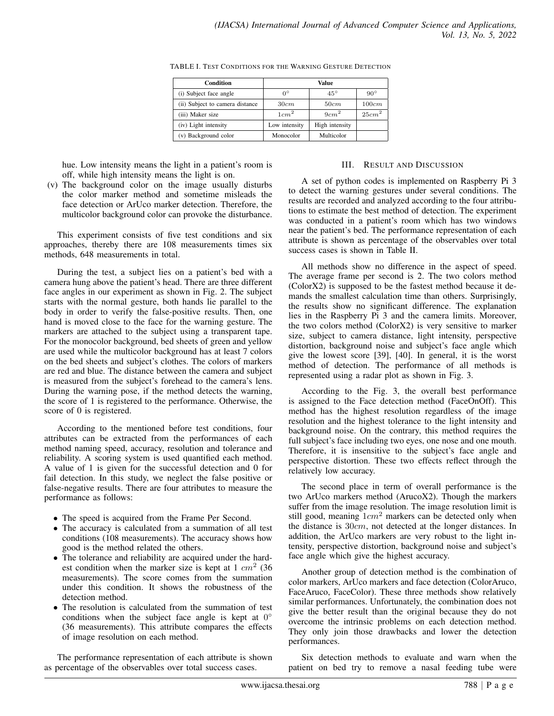| Condition                       | Value            |                  |                   |
|---------------------------------|------------------|------------------|-------------------|
| (i) Subject face angle          | $0^{\circ}$      | $45^{\circ}$     | $90^\circ$        |
| (ii) Subject to camera distance | 30cm             | 50cm             | 100cm             |
| (iii) Maker size                | 1cm <sup>2</sup> | 9cm <sup>2</sup> | 25cm <sup>2</sup> |
| (iv) Light intensity            | Low intensity    | High intensity   |                   |
| (v) Background color            | Monocolor        | Multicolor       |                   |

TABLE I. TEST CONDITIONS FOR THE WARNING GESTURE DETECTION

hue. Low intensity means the light in a patient's room is off, while high intensity means the light is on.

(v) The background color on the image usually disturbs the color marker method and sometime misleads the face detection or ArUco marker detection. Therefore, the multicolor background color can provoke the disturbance.

This experiment consists of five test conditions and six approaches, thereby there are 108 measurements times six methods, 648 measurements in total.

During the test, a subject lies on a patient's bed with a camera hung above the patient's head. There are three different face angles in our experiment as shown in Fig. 2. The subject starts with the normal gesture, both hands lie parallel to the body in order to verify the false-positive results. Then, one hand is moved close to the face for the warning gesture. The markers are attached to the subject using a transparent tape. For the monocolor background, bed sheets of green and yellow are used while the multicolor background has at least 7 colors on the bed sheets and subject's clothes. The colors of markers are red and blue. The distance between the camera and subject is measured from the subject's forehead to the camera's lens. During the warning pose, if the method detects the warning, the score of 1 is registered to the performance. Otherwise, the score of 0 is registered.

According to the mentioned before test conditions, four attributes can be extracted from the performances of each method naming speed, accuracy, resolution and tolerance and reliability. A scoring system is used quantified each method. A value of 1 is given for the successful detection and 0 for fail detection. In this study, we neglect the false positive or false-negative results. There are four attributes to measure the performance as follows:

- The speed is acquired from the Frame Per Second.
- The accuracy is calculated from a summation of all test conditions (108 measurements). The accuracy shows how good is the method related the others.
- The tolerance and reliability are acquired under the hardest condition when the marker size is kept at  $1 cm<sup>2</sup>$  (36) measurements). The score comes from the summation under this condition. It shows the robustness of the detection method.
- The resolution is calculated from the summation of test conditions when the subject face angle is kept at  $0^{\circ}$ (36 measurements). This attribute compares the effects of image resolution on each method.

The performance representation of each attribute is shown as percentage of the observables over total success cases.

## III. RESULT AND DISCUSSION

A set of python codes is implemented on Raspberry Pi 3 to detect the warning gestures under several conditions. The results are recorded and analyzed according to the four attributions to estimate the best method of detection. The experiment was conducted in a patient's room which has two windows near the patient's bed. The performance representation of each attribute is shown as percentage of the observables over total success cases is shown in Table II.

All methods show no difference in the aspect of speed. The average frame per second is 2. The two colors method (ColorX2) is supposed to be the fastest method because it demands the smallest calculation time than others. Surprisingly, the results show no significant difference. The explanation lies in the Raspberry Pi 3 and the camera limits. Moreover, the two colors method (ColorX2) is very sensitive to marker size, subject to camera distance, light intensity, perspective distortion, background noise and subject's face angle which give the lowest score [39], [40]. In general, it is the worst method of detection. The performance of all methods is represented using a radar plot as shown in Fig. 3.

According to the Fig. 3, the overall best performance is assigned to the Face detection method (FaceOnOff). This method has the highest resolution regardless of the image resolution and the highest tolerance to the light intensity and background noise. On the contrary, this method requires the full subject's face including two eyes, one nose and one mouth. Therefore, it is insensitive to the subject's face angle and perspective distortion. These two effects reflect through the relatively low accuracy.

The second place in term of overall performance is the two ArUco markers method (ArucoX2). Though the markers suffer from the image resolution. The image resolution limit is still good, meaning  $1cm^2$  markers can be detected only when the distance is 30cm, not detected at the longer distances. In addition, the ArUco markers are very robust to the light intensity, perspective distortion, background noise and subject's face angle which give the highest accuracy.

Another group of detection method is the combination of color markers, ArUco markers and face detection (ColorAruco, FaceAruco, FaceColor). These three methods show relatively similar performances. Unfortunately, the combination does not give the better result than the original because they do not overcome the intrinsic problems on each detection method. They only join those drawbacks and lower the detection performances.

Six detection methods to evaluate and warn when the patient on bed try to remove a nasal feeding tube were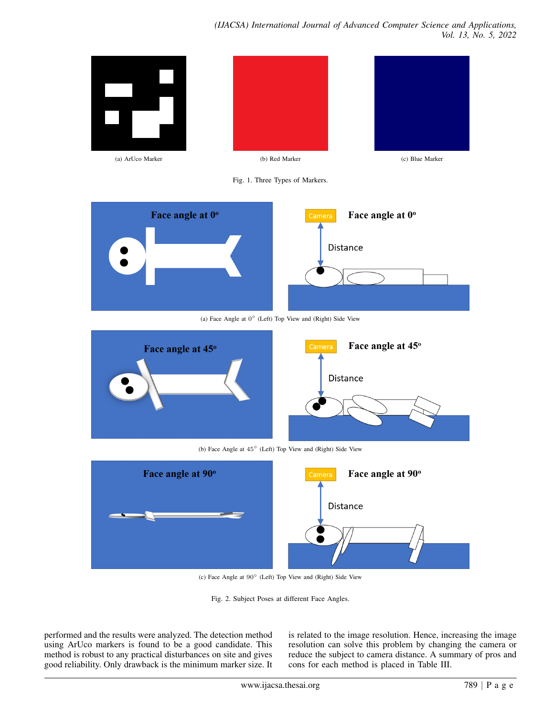

(c) Face Angle at 90◦ (Left) Top View and (Right) Side View

Fig. 2. Subject Poses at different Face Angles.

performed and the results were analyzed. The detection method using ArUco markers is found to be a good candidate. This method is robust to any practical disturbances on site and gives good reliability. Only drawback is the minimum marker size. It is related to the image resolution. Hence, increasing the image resolution can solve this problem by changing the camera or reduce the subject to camera distance. A summary of pros and cons for each method is placed in Table III.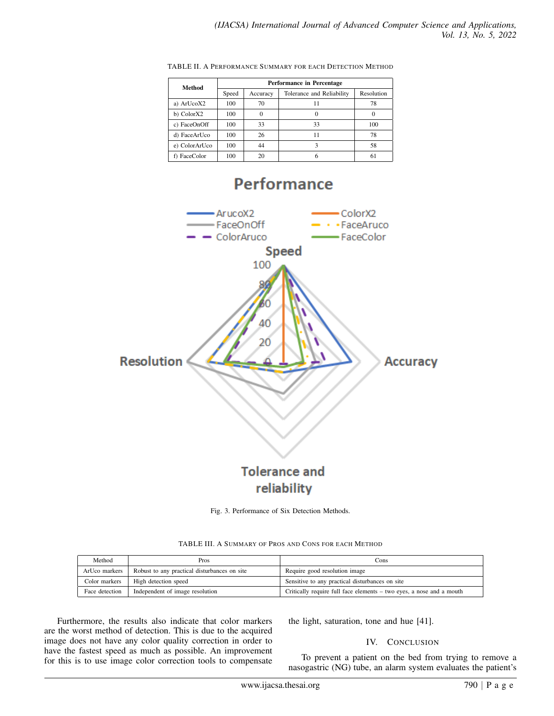| Method        | Performance in Percentage |          |                           |            |  |
|---------------|---------------------------|----------|---------------------------|------------|--|
|               | Speed                     | Accuracy | Tolerance and Reliability | Resolution |  |
| a) ArUcoX2    | 100                       | 70       |                           | 78         |  |
| b) ColorX2    | 100                       |          |                           |            |  |
| c) FaceOnOff  | 100                       | 33       | 33                        | 100        |  |
| d) FaceArUco  | 100                       | 26       | 11                        | 78         |  |
| e) ColorArUco | 100                       | 44       |                           | 58         |  |
| f) FaceColor  | 100                       | 20       |                           | 61         |  |

TABLE II. A PERFORMANCE SUMMARY FOR EACH DETECTION METHOD

# **Performance**



Fig. 3. Performance of Six Detection Methods.

| Method         | Pros                                         | Cons                                                                 |  |  |
|----------------|----------------------------------------------|----------------------------------------------------------------------|--|--|
| ArUco markers  | Robust to any practical disturbances on site | Require good resolution image                                        |  |  |
| Color markers  | High detection speed                         | Sensitive to any practical disturbances on site                      |  |  |
| Face detection | Independent of image resolution              | Critically require full face elements – two eyes, a nose and a mouth |  |  |

TABLE III. A SUMMARY OF PROS AND CONS FOR EACH METHOD

Furthermore, the results also indicate that color markers are the worst method of detection. This is due to the acquired image does not have any color quality correction in order to have the fastest speed as much as possible. An improvement for this is to use image color correction tools to compensate the light, saturation, tone and hue [41].

# IV. CONCLUSION

To prevent a patient on the bed from trying to remove a nasogastric (NG) tube, an alarm system evaluates the patient's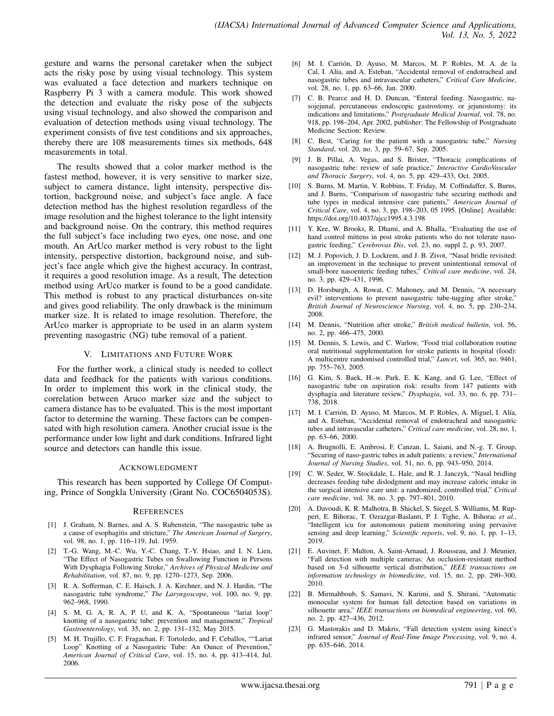gesture and warns the personal caretaker when the subject acts the risky pose by using visual technology. This system was evaluated a face detection and markers technique on Raspberry Pi 3 with a camera module. This work showed the detection and evaluate the risky pose of the subjects using visual technology, and also showed the comparison and evaluation of detection methods using visual technology. The experiment consists of five test conditions and six approaches, thereby there are 108 measurements times six methods, 648 measurements in total.

The results showed that a color marker method is the fastest method, however, it is very sensitive to marker size, subject to camera distance, light intensity, perspective distortion, background noise, and subject's face angle. A face detection method has the highest resolution regardless of the image resolution and the highest tolerance to the light intensity and background noise. On the contrary, this method requires the full subject's face including two eyes, one nose, and one mouth. An ArUco marker method is very robust to the light intensity, perspective distortion, background noise, and subject's face angle which give the highest accuracy. In contrast, it requires a good resolution image. As a result, The detection method using ArUco marker is found to be a good candidate. This method is robust to any practical disturbances on-site and gives good reliability. The only drawback is the minimum marker size. It is related to image resolution. Therefore, the ArUco marker is appropriate to be used in an alarm system preventing nasogastric (NG) tube removal of a patient.

### V. LIMITATIONS AND FUTURE WORK

For the further work, a clinical study is needed to collect data and feedback for the patients with various conditions. In order to implement this work in the clinical study, the correlation between Aruco marker size and the subject to camera distance has to be evaluated. This is the most important factor to determine the warning. These factors can be compensated with high resolution camera. Another crucial issue is the performance under low light and dark conditions. Infrared light source and detectors can handle this issue.

### ACKNOWLEDGMENT

This research has been supported by College Of Computing, Prince of Songkla University (Grant No. COC6504053S).

#### **REFERENCES**

- [1] J. Graham, N. Barnes, and A. S. Rubenstein, "The nasogastric tube as a cause of esophagitis and stricture," *The American Journal of Surgery*, vol. 98, no. 1, pp. 116–119, Jul. 1959.
- [2] T.-G. Wang, M.-C. Wu, Y.-C. Chang, T.-Y. Hsiao, and I. N. Lien, "The Effect of Nasogastric Tubes on Swallowing Function in Persons With Dysphagia Following Stroke," *Archives of Physical Medicine and Rehabilitation*, vol. 87, no. 9, pp. 1270–1273, Sep. 2006.
- [3] R. A. Sofferman, C. E. Haisch, J. A. Kirchner, and N. J. Hardin, "The nasogastric tube syndrome," *The Laryngoscope*, vol. 100, no. 9, pp. 962–968, 1990.
- [4] S. M, G. A, R. A, P. U, and K. A, "Spontaneous "lariat loop" knotting of a nasogastric tube: prevention and management," *Tropical Gastroenterology*, vol. 35, no. 2, pp. 131–132, May 2015.
- [5] M. H. Trujillo, C. F. Fragachan, F. Tortoledo, and F. Ceballos, ""Lariat Loop" Knotting of a Nasogastric Tube: An Ounce of Prevention," *American Journal of Critical Care*, vol. 15, no. 4, pp. 413–414, Jul. 2006.
- [6] M. I. Carrión, D. Ayuso, M. Marcos, M. P. Robles, M. A. de la Cal, I. Alía, and A. Esteban, "Accidental removal of endotracheal and nasogastric tubes and intravascular catheters," *Critical Care Medicine*, vol. 28, no. 1, pp. 63–66, Jan. 2000.
- [7] C. B. Pearce and H. D. Duncan, "Enteral feeding. Nasogastric, nasojejunal, percutaneous endoscopic gastrostomy, or jejunostomy: its indications and limitations," *Postgraduate Medical Journal*, vol. 78, no. 918, pp. 198–204, Apr. 2002, publisher: The Fellowship of Postgraduate Medicine Section: Review.
- [8] C. Best, "Caring for the patient with a nasogastric tube," *Nursing Standard*, vol. 20, no. 3, pp. 59–67, Sep. 2005.
- [9] J. B. Pillai, A. Vegas, and S. Brister, "Thoracic complications of nasogastric tube: review of safe practice," *Interactive CardioVascular and Thoracic Surgery*, vol. 4, no. 5, pp. 429–433, Oct. 2005.
- [10] S. Burns, M. Martin, V. Robbins, T. Friday, M. Coffindaffer, S. Burns, and J. Burns, "Comparison of nasogastric tube securing methods and tube types in medical intensive care patients," *American Journal of Critical Care*, vol. 4, no. 3, pp. 198–203, 05 1995. [Online]. Available: https://doi.org/10.4037/ajcc1995.4.3.198
- [11] Y. Kee, W. Brooks, R. Dhami, and A. Bhalla, "Evaluating the use of hand control mittens in post stroke patients who do not tolerate nasogastric feeding," *Cerebrovas Dis*, vol. 23, no. suppl 2, p. 93, 2007.
- [12] M. J. Popovich, J. D. Lockrem, and J. B. Zivot, "Nasal bridle revisited: an improvement in the technique to prevent unintentional removal of small-bore nasoenteric feeding tubes," *Critical care medicine*, vol. 24, no. 3, pp. 429–431, 1996.
- [13] D. Horsburgh, A. Rowat, C. Mahoney, and M. Dennis, "A necessary evil? interventions to prevent nasogastric tube-tugging after stroke, *British Journal of Neuroscience Nursing*, vol. 4, no. 5, pp. 230–234, 2008.
- [14] M. Dennis, "Nutrition after stroke," *British medical bulletin*, vol. 56, no. 2, pp. 466–475, 2000.
- [15] M. Dennis, S. Lewis, and C. Warlow, "Food trial collaboration routine oral nutritional supplementation for stroke patients in hospital (food): A multicentre randomised controlled trial," *Lancet*, vol. 365, no. 9461, pp. 755–763, 2005.
- [16] G. Kim, S. Baek, H.-w. Park, E. K. Kang, and G. Lee, "Effect of nasogastric tube on aspiration risk: results from 147 patients with dysphagia and literature review," *Dysphagia*, vol. 33, no. 6, pp. 731– 738, 2018.
- [17] M. I. Carrión, D. Ayuso, M. Marcos, M. P. Robles, A. Miguel, I. Alía, and A. Esteban, "Accidental removal of endotracheal and nasogastric tubes and intravascular catheters," *Critical care medicine*, vol. 28, no. 1, pp. 63–66, 2000.
- [18] A. Brugnolli, E. Ambrosi, F. Canzan, L. Saiani, and N.-g. T. Group, "Securing of naso-gastric tubes in adult patients: a review," *International Journal of Nursing Studies*, vol. 51, no. 6, pp. 943–950, 2014.
- [19] C. W. Seder, W. Stockdale, L. Hale, and R. J. Janczyk, "Nasal bridling decreases feeding tube dislodgment and may increase caloric intake in the surgical intensive care unit: a randomized, controlled trial," *Critical care medicine*, vol. 38, no. 3, pp. 797–801, 2010.
- [20] A. Davoudi, K. R. Malhotra, B. Shickel, S. Siegel, S. Williams, M. Ruppert, E. Bihorac, T. Ozrazgat-Baslanti, P. J. Tighe, A. Bihorac *et al.*, "Intelligent icu for autonomous patient monitoring using pervasive sensing and deep learning," *Scientific reports*, vol. 9, no. 1, pp. 1–13, 2019.
- [21] E. Auvinet, F. Multon, A. Saint-Arnaud, J. Rousseau, and J. Meunier, "Fall detection with multiple cameras: An occlusion-resistant method based on 3-d silhouette vertical distribution," *IEEE transactions on information technology in biomedicine*, vol. 15, no. 2, pp. 290–300, 2010.
- [22] B. Mirmahboub, S. Samavi, N. Karimi, and S. Shirani, "Automatic monocular system for human fall detection based on variations in silhouette area," *IEEE transactions on biomedical engineering*, vol. 60, no. 2, pp. 427–436, 2012.
- [23] G. Mastorakis and D. Makris, "Fall detection system using kinect's infrared sensor," *Journal of Real-Time Image Processing*, vol. 9, no. 4, pp. 635–646, 2014.